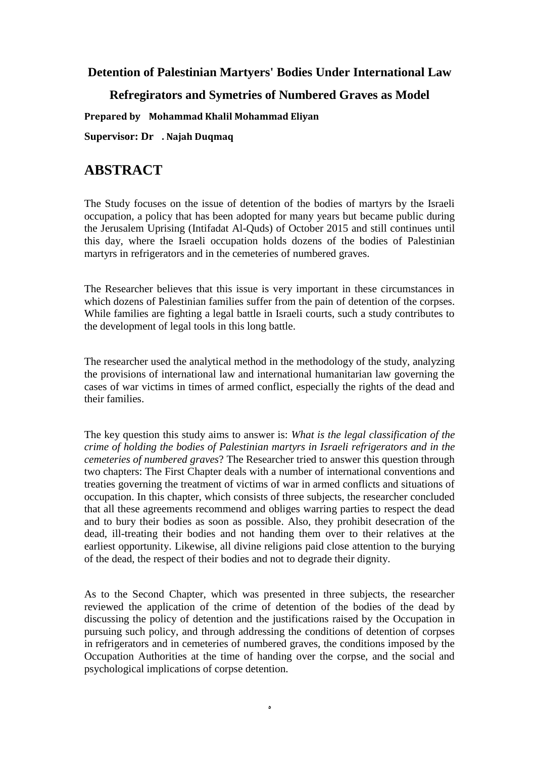**Detention of Palestinian Martyers' Bodies Under International Law**

## **Refregirators and Symetries of Numbered Graves as Model**

**Prepared by Mohammad Khalil Mohammad Eliyan**

**Supervisor: Dr . Najah Duqmaq**

## **ABSTRACT**

The Study focuses on the issue of detention of the bodies of martyrs by the Israeli occupation, a policy that has been adopted for many years but became public during the Jerusalem Uprising (Intifadat Al-Quds) of October 2015 and still continues until this day, where the Israeli occupation holds dozens of the bodies of Palestinian martyrs in refrigerators and in the cemeteries of numbered graves.

The Researcher believes that this issue is very important in these circumstances in which dozens of Palestinian families suffer from the pain of detention of the corpses. While families are fighting a legal battle in Israeli courts, such a study contributes to the development of legal tools in this long battle.

The researcher used the analytical method in the methodology of the study, analyzing the provisions of international law and international humanitarian law governing the cases of war victims in times of armed conflict, especially the rights of the dead and their families.

The key question this study aims to answer is: *What is the legal classification of the crime of holding the bodies of Palestinian martyrs in Israeli refrigerators and in the cemeteries of numbered graves*? The Researcher tried to answer this question through two chapters: The First Chapter deals with a number of international conventions and treaties governing the treatment of victims of war in armed conflicts and situations of occupation. In this chapter, which consists of three subjects, the researcher concluded that all these agreements recommend and obliges warring parties to respect the dead and to bury their bodies as soon as possible. Also, they prohibit desecration of the dead, ill-treating their bodies and not handing them over to their relatives at the earliest opportunity. Likewise, all divine religions paid close attention to the burying of the dead, the respect of their bodies and not to degrade their dignity.

As to the Second Chapter, which was presented in three subjects, the researcher reviewed the application of the crime of detention of the bodies of the dead by discussing the policy of detention and the justifications raised by the Occupation in pursuing such policy, and through addressing the conditions of detention of corpses in refrigerators and in cemeteries of numbered graves, the conditions imposed by the Occupation Authorities at the time of handing over the corpse, and the social and psychological implications of corpse detention.

ه